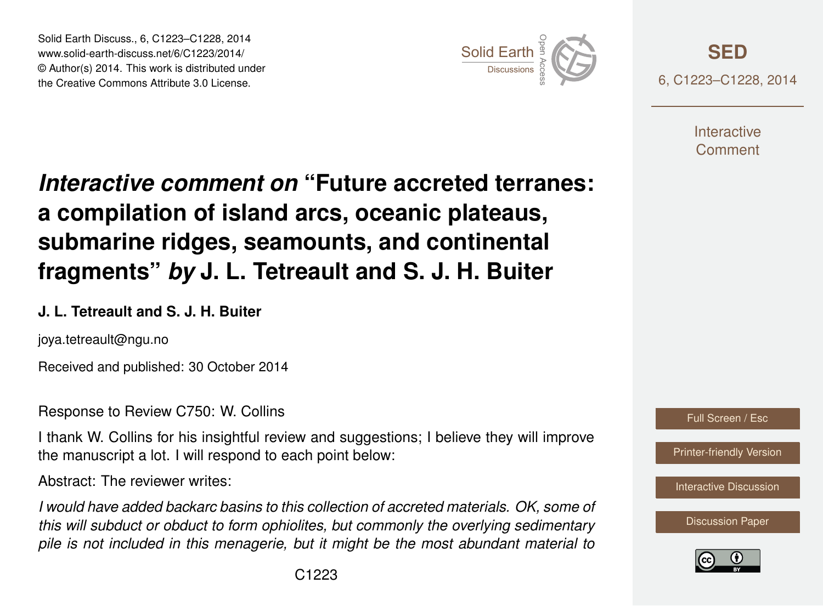Solid Earth Discuss., 6, C1223–C1228, 2014 www.solid-earth-discuss.net/6/C1223/2014/ © Author(s) 2014. This work is distributed under Solid Earth Discuss., 6, C1223–C1228, 2014<br>www.solid-earth-discuss.net/6/C1223/2014/<br>© Author(s) 2014. This work is distributed under<br>the Creative Commons Attribute 3.0 License.



**[SED](http://www.solid-earth-discuss.net)** 6, C1223–C1228, 2014

> **Interactive** Comment

## *Interactive comment on* **"Future accreted terranes: a compilation of island arcs, oceanic plateaus, submarine ridges, seamounts, and continental fragments"** *by* **J. L. Tetreault and S. J. H. Buiter**

## **J. L. Tetreault and S. J. H. Buiter**

joya.tetreault@ngu.no

Received and published: 30 October 2014

Response to Review C750: W. Collins

I thank W. Collins for his insightful review and suggestions; I believe they will improve the manuscript a lot. I will respond to each point below:

Abstract: The reviewer writes:

*I would have added backarc basins to this collection of accreted materials. OK, some of this will subduct or obduct to form ophiolites, but commonly the overlying sedimentary pile is not included in this menagerie, but it might be the most abundant material to*



[Printer-friendly Version](http://www.solid-earth-discuss.net/6/C1223/2014/sed-6-C1223-2014-print.pdf)

[Interactive Discussion](http://www.solid-earth-discuss.net/6/1451/2014/sed-6-1451-2014-discussion.html)

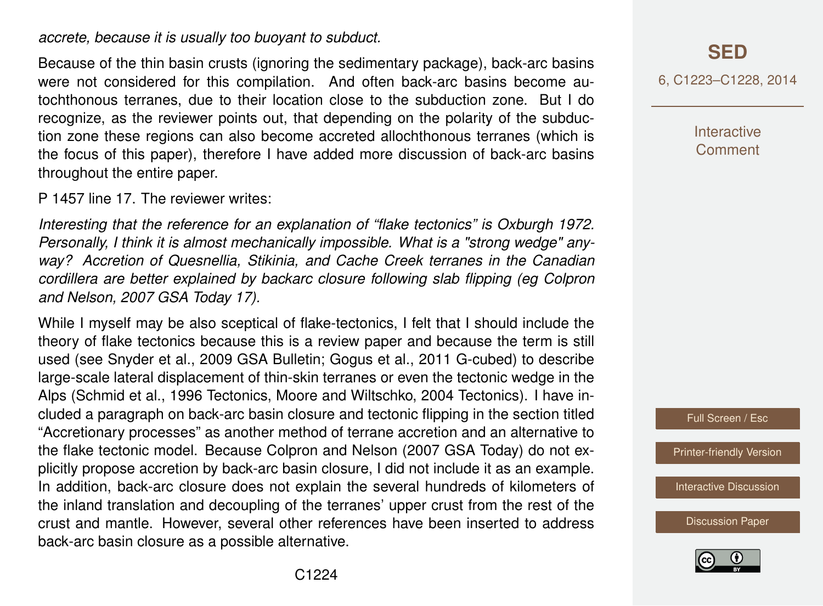*accrete, because it is usually too buoyant to subduct.*

Because of the thin basin crusts (ignoring the sedimentary package), back-arc basins were not considered for this compilation. And often back-arc basins become autochthonous terranes, due to their location close to the subduction zone. But I do recognize, as the reviewer points out, that depending on the polarity of the subduction zone these regions can also become accreted allochthonous terranes (which is the focus of this paper), therefore I have added more discussion of back-arc basins throughout the entire paper.

P 1457 line 17. The reviewer writes:

*Interesting that the reference for an explanation of "flake tectonics" is Oxburgh 1972. Personally, I think it is almost mechanically impossible. What is a "strong wedge" anyway? Accretion of Quesnellia, Stikinia, and Cache Creek terranes in the Canadian cordillera are better explained by backarc closure following slab flipping (eg Colpron and Nelson, 2007 GSA Today 17).*

While I myself may be also sceptical of flake-tectonics, I felt that I should include the theory of flake tectonics because this is a review paper and because the term is still used (see Snyder et al., 2009 GSA Bulletin; Gogus et al., 2011 G-cubed) to describe large-scale lateral displacement of thin-skin terranes or even the tectonic wedge in the Alps (Schmid et al., 1996 Tectonics, Moore and Wiltschko, 2004 Tectonics). I have included a paragraph on back-arc basin closure and tectonic flipping in the section titled "Accretionary processes" as another method of terrane accretion and an alternative to the flake tectonic model. Because Colpron and Nelson (2007 GSA Today) do not explicitly propose accretion by back-arc basin closure, I did not include it as an example. In addition, back-arc closure does not explain the several hundreds of kilometers of the inland translation and decoupling of the terranes' upper crust from the rest of the crust and mantle. However, several other references have been inserted to address back-arc basin closure as a possible alternative.

6, C1223–C1228, 2014

**Interactive Comment** 

Full Screen / Esc

[Printer-friendly Version](http://www.solid-earth-discuss.net/6/C1223/2014/sed-6-C1223-2014-print.pdf)

[Interactive Discussion](http://www.solid-earth-discuss.net/6/1451/2014/sed-6-1451-2014-discussion.html)

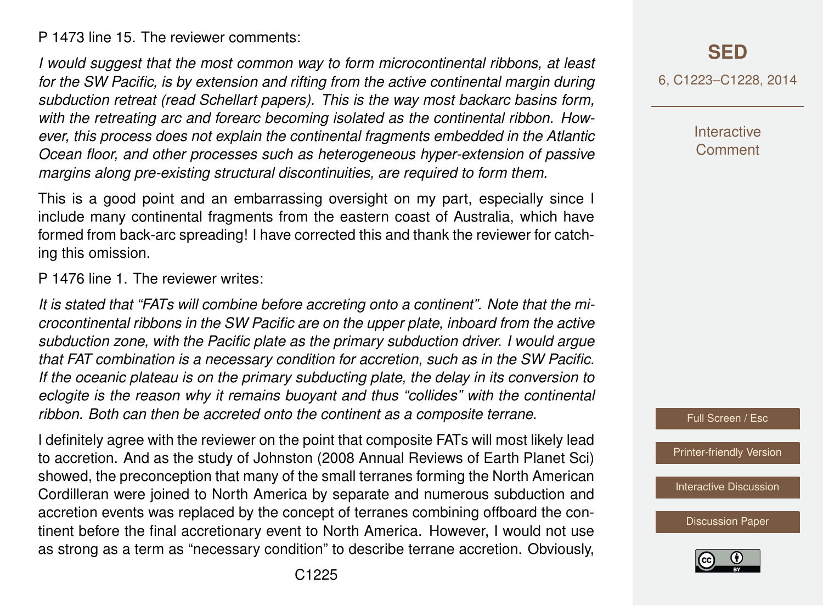P 1473 line 15. The reviewer comments:

*I would suggest that the most common way to form microcontinental ribbons, at least for the SW Pacific, is by extension and rifting from the active continental margin during subduction retreat (read Schellart papers). This is the way most backarc basins form, with the retreating arc and forearc becoming isolated as the continental ribbon. However, this process does not explain the continental fragments embedded in the Atlantic Ocean floor, and other processes such as heterogeneous hyper-extension of passive margins along pre-existing structural discontinuities, are required to form them.*

This is a good point and an embarrassing oversight on my part, especially since I include many continental fragments from the eastern coast of Australia, which have formed from back-arc spreading! I have corrected this and thank the reviewer for catching this omission.

P 1476 line 1. The reviewer writes:

*It is stated that "FATs will combine before accreting onto a continent". Note that the microcontinental ribbons in the SW Pacific are on the upper plate, inboard from the active subduction zone, with the Pacific plate as the primary subduction driver. I would argue that FAT combination is a necessary condition for accretion, such as in the SW Pacific. If the oceanic plateau is on the primary subducting plate, the delay in its conversion to eclogite is the reason why it remains buoyant and thus "collides" with the continental ribbon. Both can then be accreted onto the continent as a composite terrane.*

I definitely agree with the reviewer on the point that composite FATs will most likely lead to accretion. And as the study of Johnston (2008 Annual Reviews of Earth Planet Sci) showed, the preconception that many of the small terranes forming the North American Cordilleran were joined to North America by separate and numerous subduction and accretion events was replaced by the concept of terranes combining offboard the continent before the final accretionary event to North America. However, I would not use as strong as a term as "necessary condition" to describe terrane accretion. Obviously, **[SED](http://www.solid-earth-discuss.net)**

6, C1223–C1228, 2014

**Interactive** Comment

Full Screen / Esc

[Printer-friendly Version](http://www.solid-earth-discuss.net/6/C1223/2014/sed-6-C1223-2014-print.pdf)

[Interactive Discussion](http://www.solid-earth-discuss.net/6/1451/2014/sed-6-1451-2014-discussion.html)

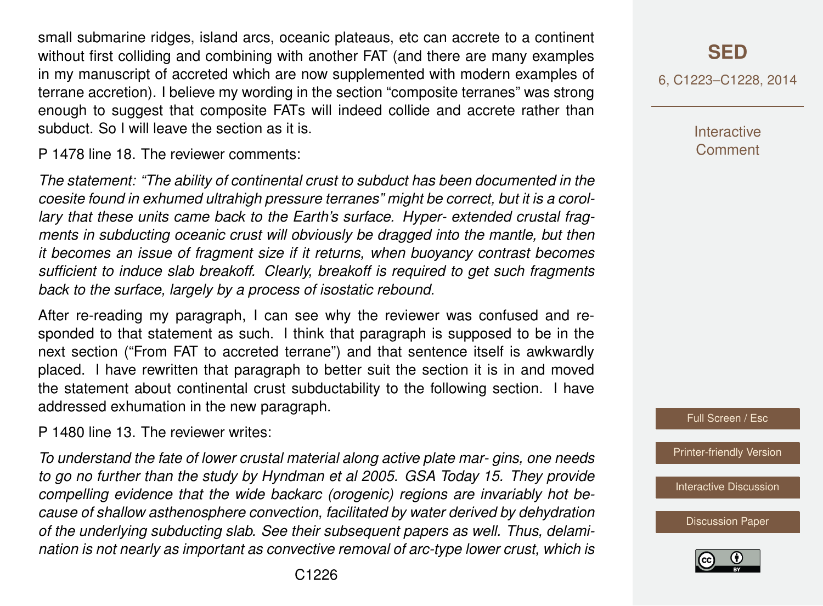small submarine ridges, island arcs, oceanic plateaus, etc can accrete to a continent without first colliding and combining with another FAT (and there are many examples in my manuscript of accreted which are now supplemented with modern examples of terrane accretion). I believe my wording in the section "composite terranes" was strong enough to suggest that composite FATs will indeed collide and accrete rather than subduct. So I will leave the section as it is.

P 1478 line 18. The reviewer comments:

*The statement: "The ability of continental crust to subduct has been documented in the coesite found in exhumed ultrahigh pressure terranes" might be correct, but it is a corollary that these units came back to the Earth's surface. Hyper- extended crustal fragments in subducting oceanic crust will obviously be dragged into the mantle, but then it becomes an issue of fragment size if it returns, when buoyancy contrast becomes sufficient to induce slab breakoff. Clearly, breakoff is required to get such fragments back to the surface, largely by a process of isostatic rebound.*

After re-reading my paragraph, I can see why the reviewer was confused and responded to that statement as such. I think that paragraph is supposed to be in the next section ("From FAT to accreted terrane") and that sentence itself is awkwardly placed. I have rewritten that paragraph to better suit the section it is in and moved the statement about continental crust subductability to the following section. I have addressed exhumation in the new paragraph.

P 1480 line 13. The reviewer writes:

*To understand the fate of lower crustal material along active plate mar- gins, one needs to go no further than the study by Hyndman et al 2005. GSA Today 15. They provide compelling evidence that the wide backarc (orogenic) regions are invariably hot because of shallow asthenosphere convection, facilitated by water derived by dehydration of the underlying subducting slab. See their subsequent papers as well. Thus, delamination is not nearly as important as convective removal of arc-type lower crust, which is* 6, C1223–C1228, 2014

**Interactive** Comment

Full Screen / Esc

[Printer-friendly Version](http://www.solid-earth-discuss.net/6/C1223/2014/sed-6-C1223-2014-print.pdf)

[Interactive Discussion](http://www.solid-earth-discuss.net/6/1451/2014/sed-6-1451-2014-discussion.html)

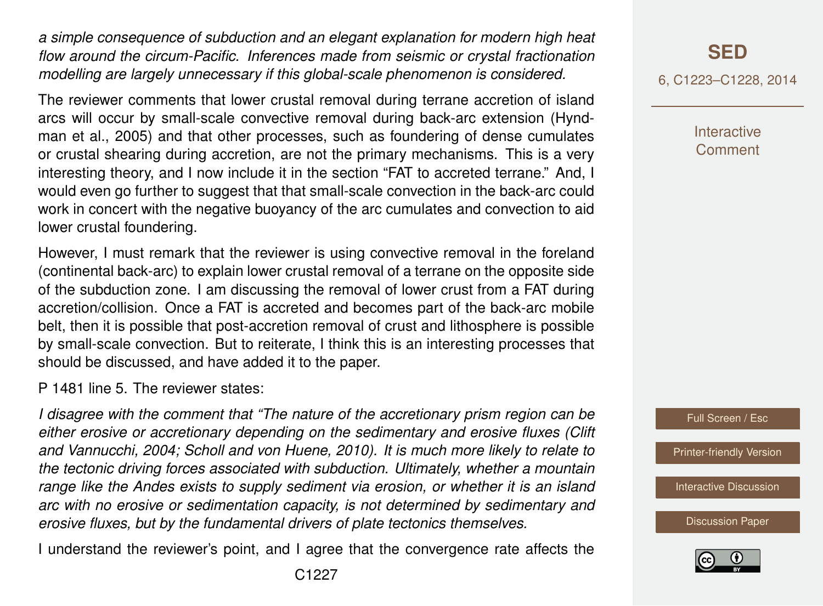*a simple consequence of subduction and an elegant explanation for modern high heat flow around the circum-Pacific. Inferences made from seismic or crystal fractionation modelling are largely unnecessary if this global-scale phenomenon is considered.*

The reviewer comments that lower crustal removal during terrane accretion of island arcs will occur by small-scale convective removal during back-arc extension (Hyndman et al., 2005) and that other processes, such as foundering of dense cumulates or crustal shearing during accretion, are not the primary mechanisms. This is a very interesting theory, and I now include it in the section "FAT to accreted terrane." And, I would even go further to suggest that that small-scale convection in the back-arc could work in concert with the negative buoyancy of the arc cumulates and convection to aid lower crustal foundering.

However, I must remark that the reviewer is using convective removal in the foreland (continental back-arc) to explain lower crustal removal of a terrane on the opposite side of the subduction zone. I am discussing the removal of lower crust from a FAT during accretion/collision. Once a FAT is accreted and becomes part of the back-arc mobile belt, then it is possible that post-accretion removal of crust and lithosphere is possible by small-scale convection. But to reiterate, I think this is an interesting processes that should be discussed, and have added it to the paper.

P 1481 line 5. The reviewer states:

*I disagree with the comment that "The nature of the accretionary prism region can be either erosive or accretionary depending on the sedimentary and erosive fluxes (Clift and Vannucchi, 2004; Scholl and von Huene, 2010). It is much more likely to relate to the tectonic driving forces associated with subduction. Ultimately, whether a mountain range like the Andes exists to supply sediment via erosion, or whether it is an island arc with no erosive or sedimentation capacity, is not determined by sedimentary and erosive fluxes, but by the fundamental drivers of plate tectonics themselves.*

I understand the reviewer's point, and I agree that the convergence rate affects the

6, C1223–C1228, 2014

**Interactive Comment** 



[Printer-friendly Version](http://www.solid-earth-discuss.net/6/C1223/2014/sed-6-C1223-2014-print.pdf)

[Interactive Discussion](http://www.solid-earth-discuss.net/6/1451/2014/sed-6-1451-2014-discussion.html)